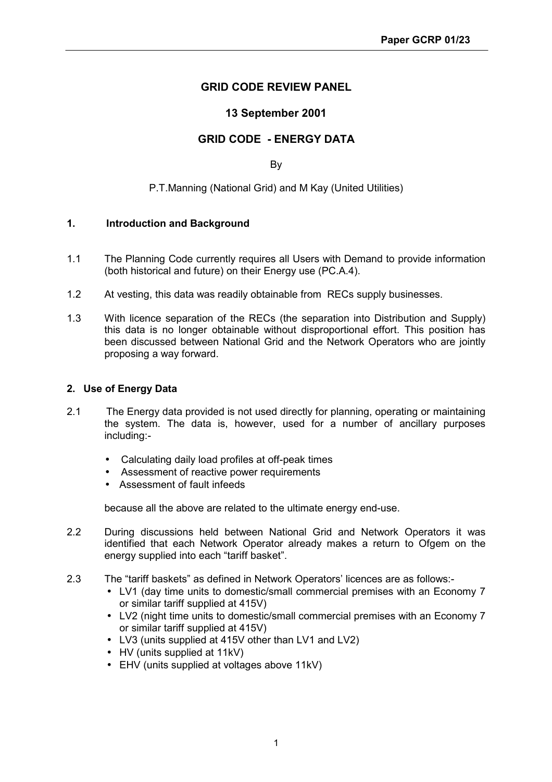## **GRID CODE REVIEW PANEL**

## **13 September 2001**

## **GRID CODE - ENERGY DATA**

By

P.T.Manning (National Grid) and M Kay (United Utilities)

### **1. Introduction and Background**

- 1.1 The Planning Code currently requires all Users with Demand to provide information (both historical and future) on their Energy use (PC.A.4).
- 1.2 At vesting, this data was readily obtainable from RECs supply businesses.
- 1.3 With licence separation of the RECs (the separation into Distribution and Supply) this data is no longer obtainable without disproportional effort. This position has been discussed between National Grid and the Network Operators who are jointly proposing a way forward.

### **2. Use of Energy Data**

- 2.1 The Energy data provided is not used directly for planning, operating or maintaining the system. The data is, however, used for a number of ancillary purposes including:-
	- Calculating daily load profiles at off-peak times
	- Assessment of reactive power requirements
	- Assessment of fault infeeds

because all the above are related to the ultimate energy end-use.

- 2.2 During discussions held between National Grid and Network Operators it was identified that each Network Operator already makes a return to Ofgem on the energy supplied into each "tariff basket".
- 2.3 The "tariff baskets" as defined in Network Operators' licences are as follows:-
	- LV1 (day time units to domestic/small commercial premises with an Economy 7 or similar tariff supplied at 415V)
	- LV2 (night time units to domestic/small commercial premises with an Economy 7 or similar tariff supplied at 415V)
	- LV3 (units supplied at 415V other than LV1 and LV2)
	- HV (units supplied at 11kV)
	- EHV (units supplied at voltages above 11kV)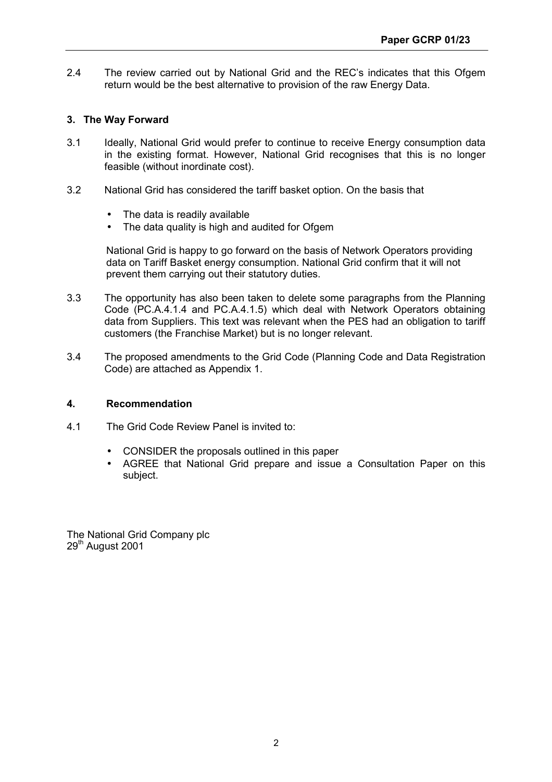2.4 The review carried out by National Grid and the REC's indicates that this Ofgem return would be the best alternative to provision of the raw Energy Data.

### **3. The Way Forward**

- 3.1 Ideally, National Grid would prefer to continue to receive Energy consumption data in the existing format. However, National Grid recognises that this is no longer feasible (without inordinate cost).
- 3.2 National Grid has considered the tariff basket option. On the basis that
	- The data is readily available
	- The data quality is high and audited for Ofgem

National Grid is happy to go forward on the basis of Network Operators providing data on Tariff Basket energy consumption. National Grid confirm that it will not prevent them carrying out their statutory duties.

- 3.3 The opportunity has also been taken to delete some paragraphs from the Planning Code (PC.A.4.1.4 and PC.A.4.1.5) which deal with Network Operators obtaining data from Suppliers. This text was relevant when the PES had an obligation to tariff customers (the Franchise Market) but is no longer relevant.
- 3.4 The proposed amendments to the Grid Code (Planning Code and Data Registration Code) are attached as Appendix 1.

#### **4. Recommendation**

- 4.1 The Grid Code Review Panel is invited to:
	- CONSIDER the proposals outlined in this paper
	- AGREE that National Grid prepare and issue a Consultation Paper on this subject.

The National Grid Company plc 29<sup>th</sup> August 2001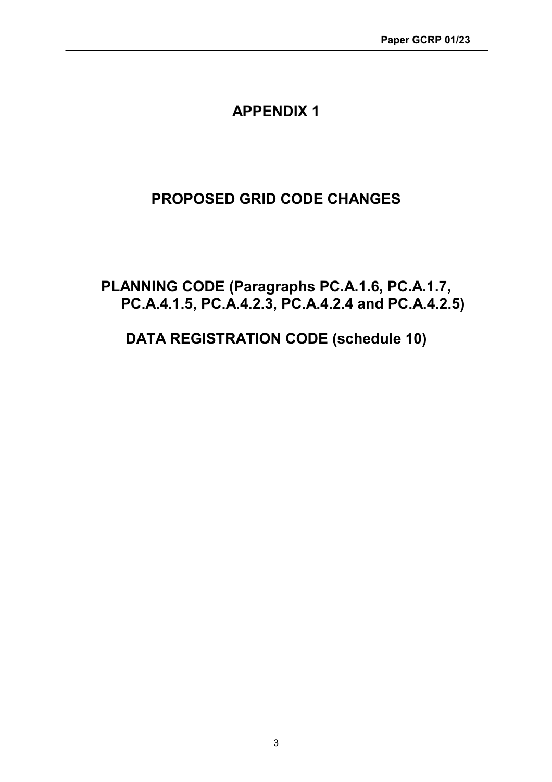## **APPENDIX 1**

# **PROPOSED GRID CODE CHANGES**

## **PLANNING CODE (Paragraphs PC.A.1.6, PC.A.1.7, PC.A.4.1.5, PC.A.4.2.3, PC.A.4.2.4 and PC.A.4.2.5)**

# **DATA REGISTRATION CODE (schedule 10)**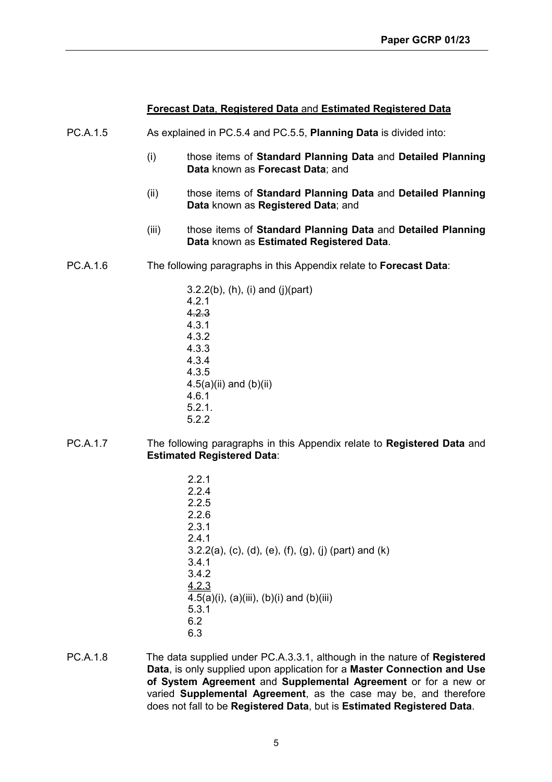### **Forecast Data**, **Registered Data** and **Estimated Registered Data**

- PC.A.1.5 As explained in PC.5.4 and PC.5.5, **Planning Data** is divided into:
	- (i) those items of **Standard Planning Data** and **Detailed Planning Data** known as **Forecast Data**; and
	- (ii) those items of **Standard Planning Data** and **Detailed Planning Data** known as **Registered Data**; and
	- (iii) those items of **Standard Planning Data** and **Detailed Planning Data** known as **Estimated Registered Data**.
- PC.A.1.6 The following paragraphs in this Appendix relate to **Forecast Data**:

3.2.2(b), (h), (i) and (j)(part) 4.2.1 4.2.3 4.3.1 4.3.2 4.3.3 4.3.4 4.3.5  $4.5(a)(ii)$  and  $(b)(ii)$ 4.6.1 5.2.1. 5.2.2

- PC.A.1.7 The following paragraphs in this Appendix relate to **Registered Data** and **Estimated Registered Data**:
	- 2.2.1 2.2.4 2.2.5 2.2.6 2.3.1 2.4.1 3.2.2(a), (c), (d), (e), (f), (g), (j) (part) and (k) 3.4.1 3.4.2 4.2.3 4.5(a)(i), (a)(iii), (b)(i) and (b)(iii) 5.3.1 6.2 6.3
- PC.A.1.8 The data supplied under PC.A.3.3.1, although in the nature of **Registered Data**, is only supplied upon application for a **Master Connection and Use of System Agreement** and **Supplemental Agreement** or for a new or varied **Supplemental Agreement**, as the case may be, and therefore does not fall to be **Registered Data**, but is **Estimated Registered Data**.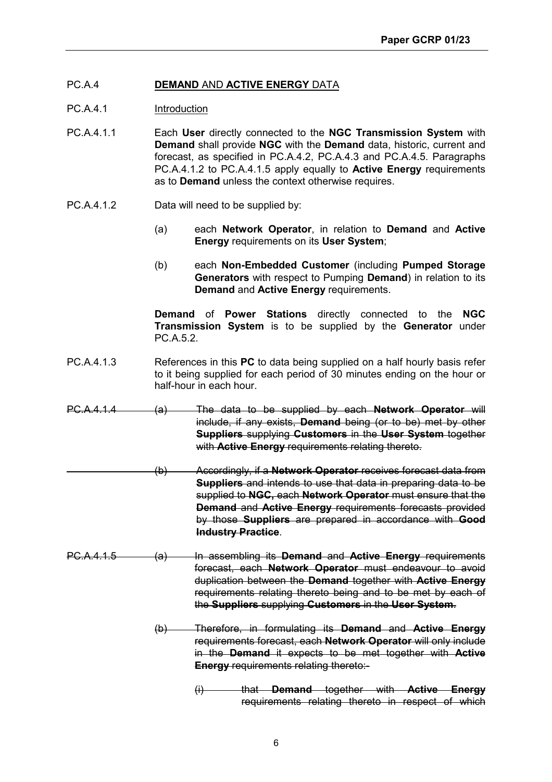### PC.A.4 **DEMAND** AND **ACTIVE ENERGY** DATA

- PC.A.4.1 Introduction
- PC.A.4.1.1 Each **User** directly connected to the **NGC Transmission System** with **Demand** shall provide **NGC** with the **Demand** data, historic, current and forecast, as specified in PC.A.4.2, PC.A.4.3 and PC.A.4.5. Paragraphs PC.A.4.1.2 to PC.A.4.1.5 apply equally to **Active Energy** requirements as to **Demand** unless the context otherwise requires.
- PC.A.4.1.2 Data will need to be supplied by:
	- (a) each **Network Operator**, in relation to **Demand** and **Active Energy** requirements on its **User System**;
	- (b) each **Non-Embedded Customer** (including **Pumped Storage Generators** with respect to Pumping **Demand**) in relation to its **Demand** and **Active Energy** requirements.

**Demand** of **Power Stations** directly connected to the **NGC Transmission System** is to be supplied by the **Generator** under PC.A.5.2.

- PC.A.4.1.3 References in this **PC** to data being supplied on a half hourly basis refer to it being supplied for each period of 30 minutes ending on the hour or half-hour in each hour.
- PC.A.4.1.4 (a) The data to be supplied by each **Network Operator** will include, if any exists, **Demand** being (or to be) met by other **Suppliers** supplying **Customers** in the **User System** together with **Active Energy** requirements relating thereto.
	- (b) Accordingly, if a **Network Operator** receives forecast data from **Suppliers** and intends to use that data in preparing data to be supplied to **NGC,** each **Network Operator** must ensure that the **Demand** and **Active Energy** requirements forecasts provided by those **Suppliers** are prepared in accordance with **Good Industry Practice**.
- PC.A.4.1.5 (a) In assembling its **Demand** and **Active Energy** requirements forecast, each **Network Operator** must endeavour to avoid duplication between the **Demand** together with **Active Energy** requirements relating thereto being and to be met by each of the **Suppliers** supplying **Customers** in the **User System**.
	- (b) Therefore, in formulating its **Demand** and **Active Energy** requirements forecast, each **Network Operator** will only include in the **Demand** it expects to be met together with **Active Energy** requirements relating thereto:-
		- (i) that **Demand** together with **Active Energy** requirements relating thereto in respect of which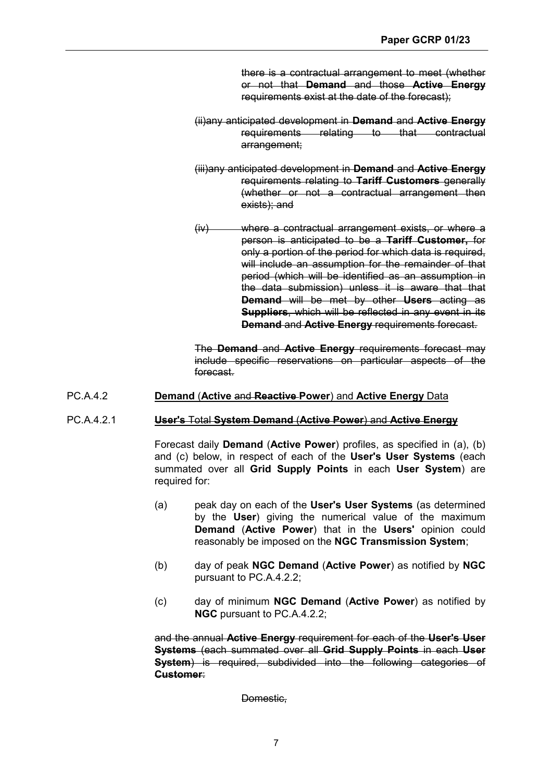there is a contractual arrangement to meet (whether or not that **Demand** and those **Active Energy** requirements exist at the date of the forecast);

- (ii)any anticipated development in **Demand** and **Active Energy** requirements relating to that contractual arrangement;
- (iii)any anticipated development in **Demand** and **Active Energy** requirements relating to **Tariff Customers** generally (whether or not a contractual arrangement then exists); and
- (iv) where a contractual arrangement exists, or where a person is anticipated to be a **Tariff Customer,** for only a portion of the period for which data is required. will include an assumption for the remainder of that period (which will be identified as an assumption in the data submission) unless it is aware that that **Demand** will be met by other **Users** acting as **Suppliers**, which will be reflected in any event in its **Demand** and **Active Energy** requirements forecast.

The **Demand** and **Active Energy** requirements forecast may include specific reservations on particular aspects of the forecast.

#### PC.A.4.2 **Demand** (**Active** and **Reactive Power**) and **Active Energy** Data

#### PC.A.4.2.1 **User's** Total **System Demand** (**Active Power**) and **Active Energy**

Forecast daily **Demand** (**Active Power**) profiles, as specified in (a), (b) and (c) below, in respect of each of the **User's User Systems** (each summated over all **Grid Supply Points** in each **User System**) are required for:

- (a) peak day on each of the **User's User Systems** (as determined by the **User**) giving the numerical value of the maximum **Demand** (**Active Power**) that in the **Users'** opinion could reasonably be imposed on the **NGC Transmission System**;
- (b) day of peak **NGC Demand** (**Active Power**) as notified by **NGC** pursuant to PC.A.4.2.2;
- (c) day of minimum **NGC Demand** (**Active Power**) as notified by **NGC** pursuant to PC.A.4.2.2;

and the annual **Active Energy** requirement for each of the **User's User Systems** (each summated over all **Grid Supply Points** in each **User System**) is required, subdivided into the following categories of **Customer**:

Domestic.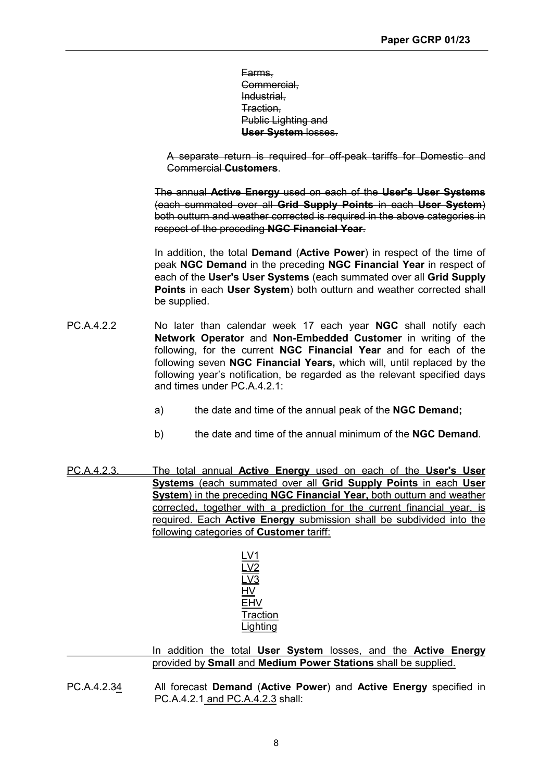Farms, Commercial, Industrial, Traction, Public Lighting and **User System** losses.

A separate return is required for off-peak tariffs for Domestic and Commercial **Customers**.

 The annual **Active Energy** used on each of the **User's User Systems** (each summated over all **Grid Supply Points** in each **User System**) both outturn and weather corrected is required in the above categories in respect of the preceding **NGC Financial Year**.

In addition, the total **Demand** (**Active Power**) in respect of the time of peak **NGC Demand** in the preceding **NGC Financial Year** in respect of each of the **User's User Systems** (each summated over all **Grid Supply Points** in each **User System**) both outturn and weather corrected shall be supplied.

- PC.A.4.2.2 No later than calendar week 17 each year **NGC** shall notify each **Network Operator** and **Non-Embedded Customer** in writing of the following, for the current **NGC Financial Year** and for each of the following seven **NGC Financial Years,** which will, until replaced by the following year's notification, be regarded as the relevant specified days and times under PC.A.4.2.1:
	- a) the date and time of the annual peak of the **NGC Demand;**
	- b) the date and time of the annual minimum of the **NGC Demand**.
- PC.A.4.2.3. The total annual **Active Energy** used on each of the **User's User Systems** (each summated over all **Grid Supply Points** in each **User System**) in the preceding **NGC Financial Year,** both outturn and weather corrected**,** together with a prediction for the current financial year, is required. Each **Active Energy** submission shall be subdivided into the following categories of **Customer** tariff:

 In addition the total **User System** losses, and the **Active Energy** provided by **Small** and **Medium Power Stations** shall be supplied.

PC.A.4.2.34 All forecast **Demand** (**Active Power**) and **Active Energy** specified in PC.A.4.2.1 and PC.A.4.2.3 shall: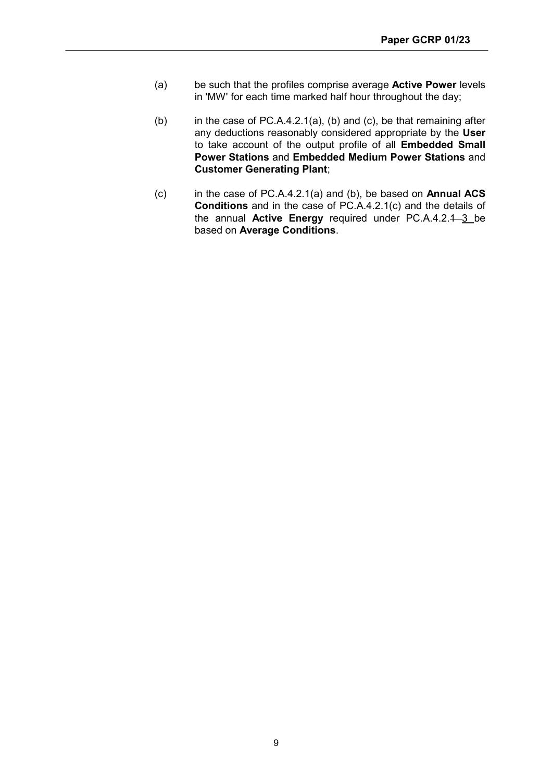- (a) be such that the profiles comprise average **Active Power** levels in 'MW' for each time marked half hour throughout the day;
- (b) in the case of PC.A.4.2.1(a), (b) and (c), be that remaining after any deductions reasonably considered appropriate by the **User** to take account of the output profile of all **Embedded Small Power Stations** and **Embedded Medium Power Stations** and **Customer Generating Plant**;
- (c) in the case of PC.A.4.2.1(a) and (b), be based on **Annual ACS Conditions** and in the case of PC.A.4.2.1(c) and the details of the annual **Active Energy** required under PC.A.4.2.1 3 be based on **Average Conditions**.